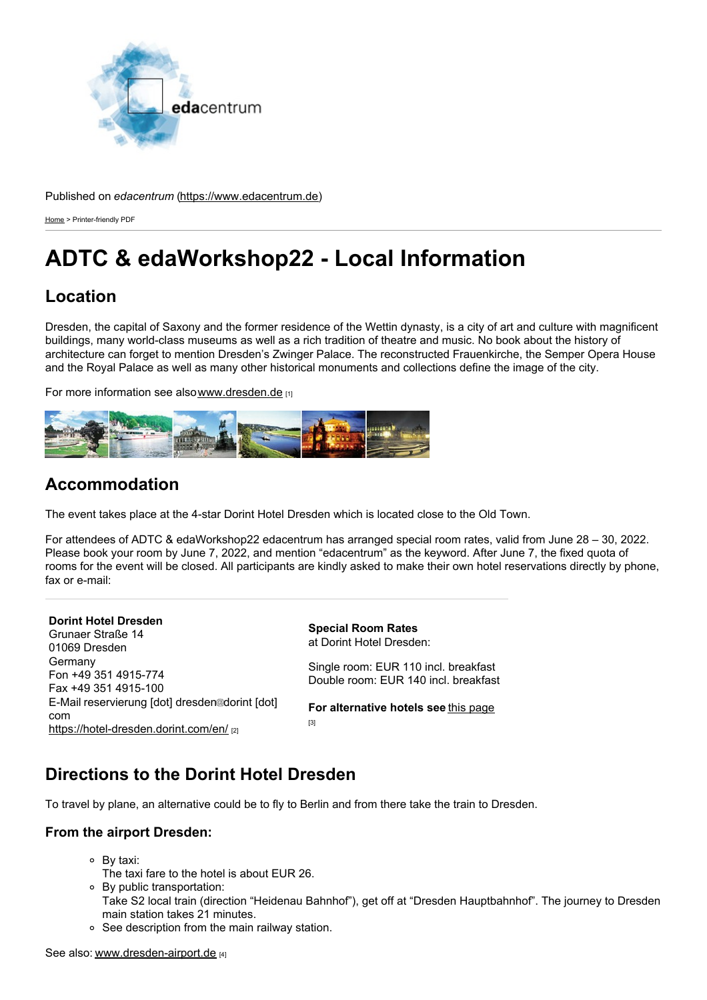

#### Published on *edacentrum* ([https://www.edacentrum.de\)](https://www.edacentrum.de)

[Home](https://www.edacentrum.de/en) > Printer-friendly PDF

# **ADTC & edaWorkshop22 - Local Information**

## **Location**

Dresden, the capital of Saxony and the former residence of the Wettin dynasty, is a city of art and culture with magnificent buildings, many world-class museums as well as a rich tradition of theatre and music. No book about the history of architecture can forget to mention Dresden's Zwinger Palace. The reconstructed Frauenkirche, the Semper Opera House and the Royal Palace as well as many other historical monuments and collections define the image of the city.

For more information see also[www.dresden.de](http://www.dresden.de) [1]



## **Accommodation**

The event takes place at the 4-star Dorint Hotel Dresden which is located close to the Old Town.

For attendees of ADTC & edaWorkshop22 edacentrum has arranged special room rates, valid from June 28 – 30, 2022. Please book your room by June 7, 2022, and mention "edacentrum" as the keyword. After June 7, the fixed quota of rooms for the event will be closed. All participants are kindly asked to make their own hotel reservations directly by phone, fax or e-mail:

**Dorint Hotel Dresden** Grunaer Straße 14 01069 Dresden **Germany** Fon +49 351 4915-774 Fax +49 351 4915-100 E-Mail reservierung [dot] dresden@dorint [dot] com <https://hotel-dresden.dorint.com/en/> [2]

**Special Room Rates** at Dorint Hotel Dresden:

Single room: EUR 110 incl. breakfast Double room: EUR 140 incl. breakfast

**For alternative hotels see** this [page](https://www.hotel.de/Search?customerid=1072270001&utm_source=partner&utm_medium=affiliate&arrival_date=2022-06-28&departure_date=2022-06-30&number_of_persons=1&number_of_rooms=1&hotel_id=33663¤cy=EUR&language=en&location_id=gp-ChIJT5FlRlrPCUcR3qgZprJo2Tw&view=map)

[3]

# **Directions to the Dorint Hotel Dresden**

To travel by plane, an alternative could be to fly to Berlin and from there take the train to Dresden.

### **From the airport Dresden:**

- By taxi:
- The taxi fare to the hotel is about EUR 26.
- By public transportation:
- Take S2 local train (direction "Heidenau Bahnhof"), get off at "Dresden Hauptbahnhof". The journey to Dresden main station takes 21 minutes.
- See description from the main railway station.